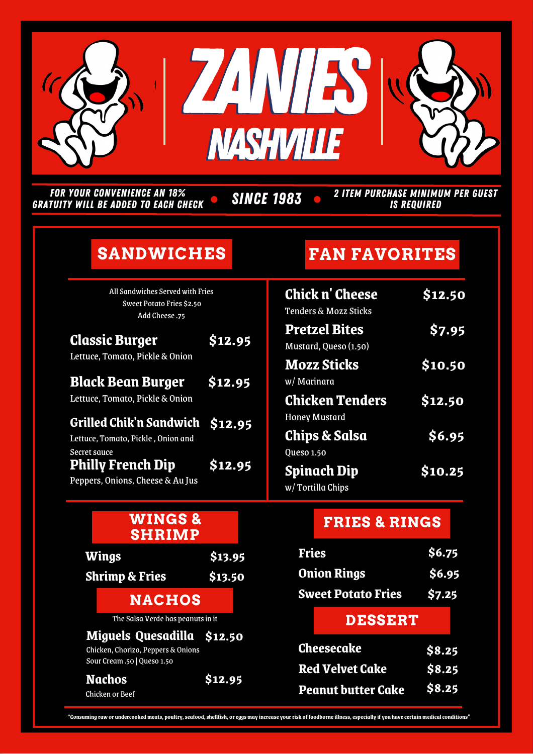

FOR YOUR CONVENIENCE AN 18% GRATUITY WILL BE ADDED TO EACH CHECK

**SINCE 1983** 

2 ITEM PURCHASE MINIMUM PER GUEST IS REQUIRED

# **SANDWICHES**

All Sandwiches Served with Fries Sweet Potato Fries \$2.50 Add Cheese .75

| <b>Classic Burger</b><br>Lettuce, Tomato, Pickle & Onion                              | \$12.95 |
|---------------------------------------------------------------------------------------|---------|
| <b>Black Bean Burger</b><br>Lettuce, Tomato, Pickle & Onion                           | \$12.95 |
| Grilled Chik'n Sandwich \$12.95<br>Lettuce, Tomato, Pickle, Onion and<br>Secret sauce |         |
| <b>Philly French Dip</b><br>Peppers, Onions, Cheese & Au Jus                          | \$12.95 |

| <b>WINGS&amp;</b><br><b>SHRIMP</b>                                                              |         |                                                     | <b>FRIES &amp; RINGS</b> |  |
|-------------------------------------------------------------------------------------------------|---------|-----------------------------------------------------|--------------------------|--|
| Wings                                                                                           | \$13.95 | <b>Fries</b>                                        | \$6.75                   |  |
| <b>Shrimp &amp; Fries</b>                                                                       | \$13.50 | <b>Onion Rings</b>                                  | \$6.95                   |  |
| <b>NACHOS</b>                                                                                   |         | <b>Sweet Potato Fries</b>                           | \$7.25                   |  |
| The Salsa Verde has peanuts in it                                                               |         | <b>DESSERT</b>                                      |                          |  |
| Miguels Quesadilla \$12.50<br>Chicken, Chorizo, Peppers & Onions<br>Sour Cream .50   Queso 1.50 |         | <b>Cheesecake</b>                                   | \$8.25                   |  |
| <b>Nachos</b><br>Chicken or Beef                                                                | \$12.95 | <b>Red Velvet Cake</b><br><b>Peanut butter Cake</b> | \$8.25<br>\$8.25         |  |

# **FAN FAVORITES**

| ١S      | <b>Chick n' Cheese</b><br>Tenders & Mozz Sticks | \$12.50 |
|---------|-------------------------------------------------|---------|
| \$12.95 | <b>Pretzel Bites</b><br>Mustard, Queso (1.50)   | \$7.95  |
| \$12.95 | <b>Mozz Sticks</b><br>w/ Marinara               | \$10.50 |
|         | <b>Chicken Tenders</b><br><b>Honey Mustard</b>  | \$12.50 |
| \$12.95 | <b>Chips &amp; Salsa</b><br><b>Queso 1.50</b>   | \$6.95  |
| \$12.95 | <b>Spinach Dip</b><br>w/Tortilla Chips          | \$10.25 |

#### **FRIES & RINGS**

| <b>Fries</b>       |                           | \$6.75 |  |
|--------------------|---------------------------|--------|--|
| <b>Onion Rings</b> |                           | \$6.95 |  |
|                    | <b>Sweet Potato Fries</b> | \$7.25 |  |
|                    | <b>DESSERT</b>            |        |  |
| <b>Cheesecake</b>  |                           | \$8.25 |  |
|                    | <b>Red Velvet Cake</b>    | \$8.25 |  |

"Consuming raw or undercooked meats, poultry, seafood, shellfish, or eggs may increase your risk of foodborne illness, especially if you have certain medical conditions'